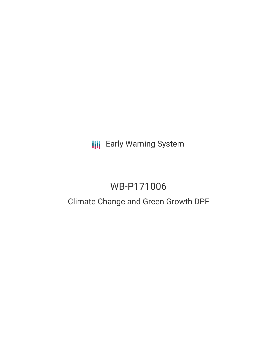**III** Early Warning System

# WB-P171006

## Climate Change and Green Growth DPF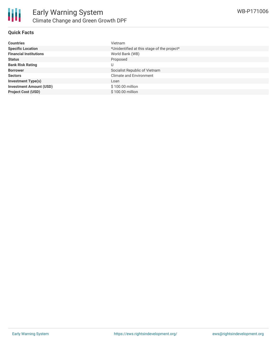#### **Quick Facts**

| <b>Countries</b>               | Vietnam                                     |
|--------------------------------|---------------------------------------------|
| <b>Specific Location</b>       | *Unidentified at this stage of the project* |
| <b>Financial Institutions</b>  | World Bank (WB)                             |
| <b>Status</b>                  | Proposed                                    |
| <b>Bank Risk Rating</b>        | U                                           |
| <b>Borrower</b>                | Socialist Republic of Vietnam               |
| <b>Sectors</b>                 | <b>Climate and Environment</b>              |
| <b>Investment Type(s)</b>      | Loan                                        |
| <b>Investment Amount (USD)</b> | \$100.00 million                            |
| <b>Project Cost (USD)</b>      | \$100.00 million                            |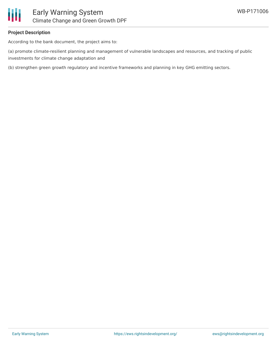

### **Project Description**

According to the bank document, the project aims to:

(a) promote climate-resilient planning and management of vulnerable landscapes and resources, and tracking of public investments for climate change adaptation and

(b) strengthen green growth regulatory and incentive frameworks and planning in key GHG emitting sectors.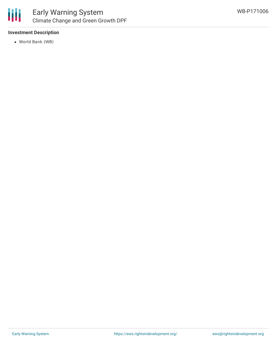

#### **Investment Description**

World Bank (WB)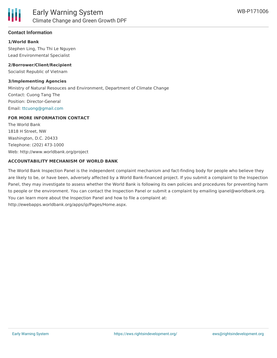#### **Contact Information**

#### **1/World Bank**

Stephen Ling, Thu Thi Le Nguyen Lead Environmental Specialist

#### **2/Borrower/Client/Recipient**

Socialist Republic of Vietnam

#### **3/Implementing Agencies**

Ministry of Natural Resouces and Environment, Department of Climate Change Contact: Cuong Tang The Position: Director-General Email: [ttcuong@gmail.com](mailto:ttcuong@gmail.com)

#### **FOR MORE INFORMATION CONTACT**

The World Bank 1818 H Street, NW Washington, D.C. 20433 Telephone: (202) 473-1000 Web: http://www.worldbank.org/project

#### **ACCOUNTABILITY MECHANISM OF WORLD BANK**

The World Bank Inspection Panel is the independent complaint mechanism and fact-finding body for people who believe they are likely to be, or have been, adversely affected by a World Bank-financed project. If you submit a complaint to the Inspection Panel, they may investigate to assess whether the World Bank is following its own policies and procedures for preventing harm to people or the environment. You can contact the Inspection Panel or submit a complaint by emailing ipanel@worldbank.org. You can learn more about the Inspection Panel and how to file a complaint at: http://ewebapps.worldbank.org/apps/ip/Pages/Home.aspx.